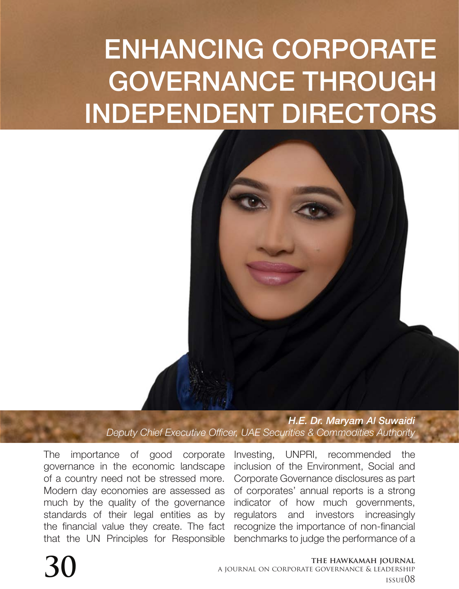## ENHANCING CORPORATE GOVERNANCE THROUGH INDEPENDENT DIRECTORS



*H.E. Dr. Maryam Al Suwaidi Deputy Chief Executive Officer, UAE Securities & Commodities Authority*

The importance of good corporate governance in the economic landscape of a country need not be stressed more. Modern day economies are assessed as much by the quality of the governance standards of their legal entities as by the financial value they create. The fact that the UN Principles for Responsible

Investing, UNPRI, recommended the inclusion of the Environment, Social and Corporate Governance disclosures as part of corporates' annual reports is a strong indicator of how much governments, regulators and investors increasingly recognize the importance of non-financial benchmarks to judge the performance of a

## **the hawkamah journal a** journal on corporate governance & LEADERSHIP A JOURNAL ON CORPORATE GOVERNANCE & LEADERSHIP issue08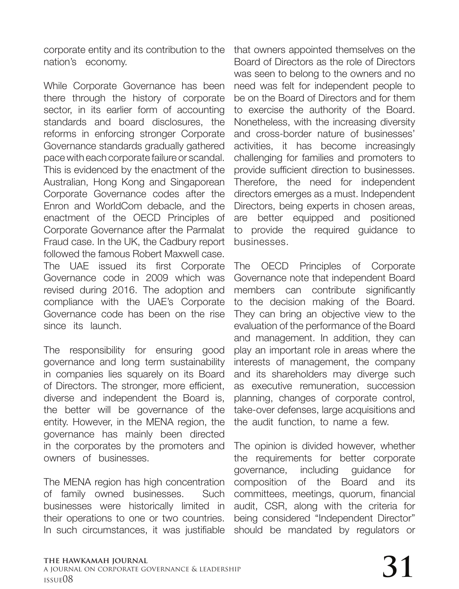corporate entity and its contribution to the nation's economy.

While Corporate Governance has been there through the history of corporate sector, in its earlier form of accounting standards and board disclosures, the reforms in enforcing stronger Corporate Governance standards gradually gathered pace with each corporate failure or scandal. This is evidenced by the enactment of the Australian, Hong Kong and Singaporean Corporate Governance codes after the Enron and WorldCom debacle, and the enactment of the OECD Principles of Corporate Governance after the Parmalat Fraud case. In the UK, the Cadbury report followed the famous Robert Maxwell case. The UAE issued its first Corporate Governance code in 2009 which was revised during 2016. The adoption and compliance with the UAE's Corporate Governance code has been on the rise since its launch.

The responsibility for ensuring good governance and long term sustainability in companies lies squarely on its Board of Directors. The stronger, more efficient, diverse and independent the Board is, the better will be governance of the entity. However, in the MENA region, the governance has mainly been directed in the corporates by the promoters and owners of businesses.

The MENA region has high concentration of family owned businesses. Such businesses were historically limited in their operations to one or two countries. In such circumstances, it was justifiable

that owners appointed themselves on the Board of Directors as the role of Directors was seen to belong to the owners and no need was felt for independent people to be on the Board of Directors and for them to exercise the authority of the Board. Nonetheless, with the increasing diversity and cross-border nature of businesses' activities, it has become increasingly challenging for families and promoters to provide sufficient direction to businesses. Therefore, the need for independent directors emerges as a must. Independent Directors, being experts in chosen areas, are better equipped and positioned to provide the required guidance to businesses.

The OECD Principles of Corporate Governance note that independent Board members can contribute significantly to the decision making of the Board. They can bring an objective view to the evaluation of the performance of the Board and management. In addition, they can play an important role in areas where the interests of management, the company and its shareholders may diverge such as executive remuneration, succession planning, changes of corporate control, take-over defenses, large acquisitions and the audit function, to name a few.

The opinion is divided however, whether the requirements for better corporate governance, including guidance for composition of the Board and its committees, meetings, quorum, financial audit, CSR, along with the criteria for being considered "Independent Director" should be mandated by regulators or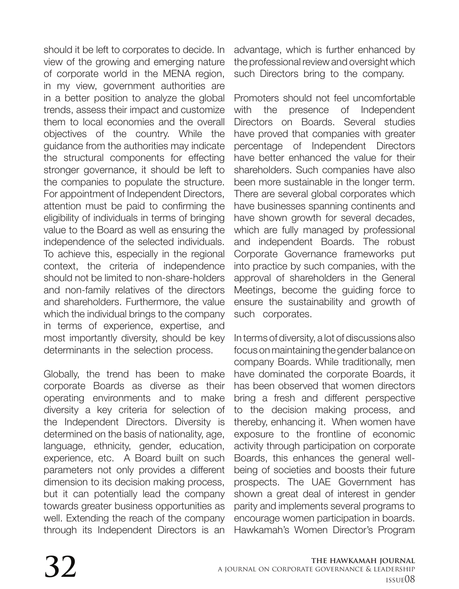should it be left to corporates to decide. In view of the growing and emerging nature of corporate world in the MENA region, in my view, government authorities are in a better position to analyze the global trends, assess their impact and customize them to local economies and the overall objectives of the country. While the guidance from the authorities may indicate the structural components for effecting stronger governance, it should be left to the companies to populate the structure. For appointment of Independent Directors, attention must be paid to confirming the eligibility of individuals in terms of bringing value to the Board as well as ensuring the independence of the selected individuals. To achieve this, especially in the regional context, the criteria of independence should not be limited to non-share-holders and non-family relatives of the directors and shareholders. Furthermore, the value which the individual brings to the company in terms of experience, expertise, and most importantly diversity, should be key determinants in the selection process.

Globally, the trend has been to make corporate Boards as diverse as their operating environments and to make diversity a key criteria for selection of the Independent Directors. Diversity is determined on the basis of nationality, age, language, ethnicity, gender, education, experience, etc. A Board built on such parameters not only provides a different dimension to its decision making process, but it can potentially lead the company towards greater business opportunities as well. Extending the reach of the company through its Independent Directors is an

advantage, which is further enhanced by the professional review and oversight which such Directors bring to the company.

Promoters should not feel uncomfortable with the presence of Independent Directors on Boards. Several studies have proved that companies with greater percentage of Independent Directors have better enhanced the value for their shareholders. Such companies have also been more sustainable in the longer term. There are several global corporates which have businesses spanning continents and have shown growth for several decades, which are fully managed by professional and independent Boards. The robust Corporate Governance frameworks put into practice by such companies, with the approval of shareholders in the General Meetings, become the guiding force to ensure the sustainability and growth of such corporates.

In terms of diversity, a lot of discussions also focus on maintaining the gender balance on company Boards. While traditionally, men have dominated the corporate Boards, it has been observed that women directors bring a fresh and different perspective to the decision making process, and thereby, enhancing it. When women have exposure to the frontline of economic activity through participation on corporate Boards, this enhances the general wellbeing of societies and boosts their future prospects. The UAE Government has shown a great deal of interest in gender parity and implements several programs to encourage women participation in boards. Hawkamah's Women Director's Program